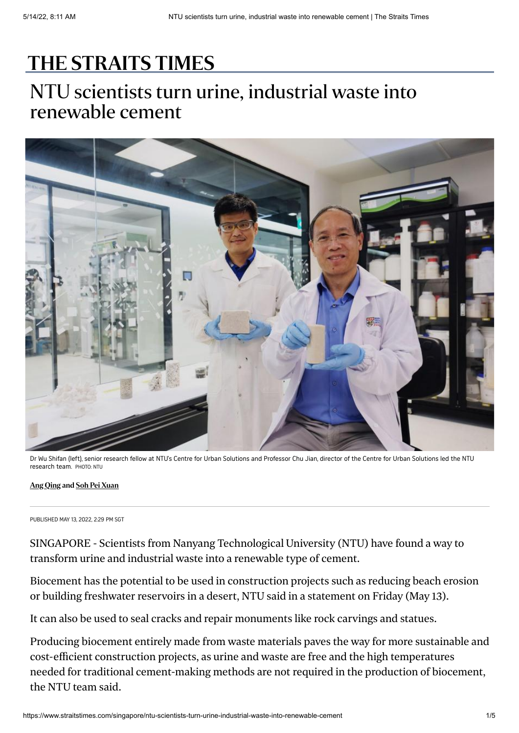## [THE STRAITS TIMES](https://www.straitstimes.com/)

## NTU scientists turn urine, industrial waste into renewable cement



Dr Wu Shifan (left), senior research fellow at NTU's Centre for Urban Solutions and Professor Chu Jian, director of the Centre for Urban Solutions led the NTU research team. PHOTO: NTU

## [Ang Qing](https://www.straitstimes.com/authors/ang-qing) and [Soh Pei Xuan](https://www.straitstimes.com/authors/soh-pei-xuan)

PUBLISHED MAY 13, 2022, 2:29 PM SGT

SINGAPORE - Scientists from Nanyang Technological University (NTU) have found a way to transform urine and industrial waste into a renewable type of cement.

Biocement has the potential to be used in construction projects such as reducing beach erosion or building freshwater reservoirs in a desert, NTU said in a statement on Friday (May 13).

It can also be used to seal cracks and repair monuments like rock carvings and statues.

Producing biocement entirely made from waste materials paves the way for more sustainable and cost-efficient construction projects, as urine and waste are free and the high temperatures needed for traditional cement-making methods are not required in the production of biocement, the NTU team said.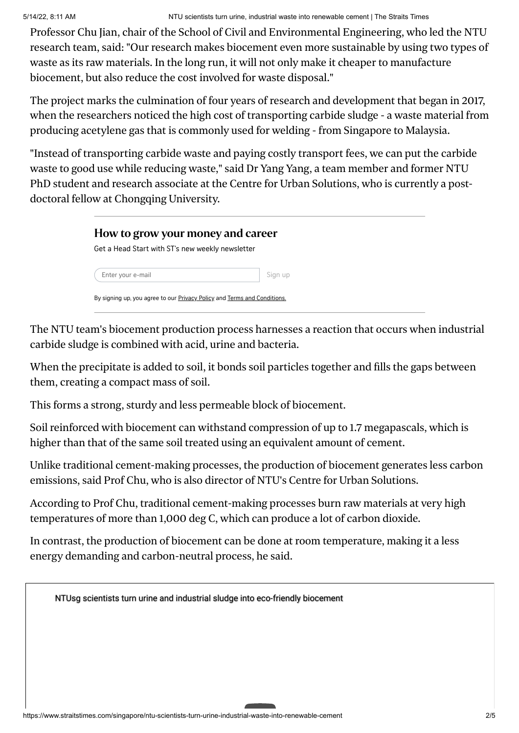Professor Chu Jian, chair of the School of Civil and Environmental Engineering, who led the NTU research team, said: "Our research makes biocement even more sustainable by using two types of waste as its raw materials. In the long run, it will not only make it cheaper to manufacture biocement, but also reduce the cost involved for waste disposal."

The project marks the culmination of four years of research and development that began in 2017, when the researchers noticed the high cost of transporting carbide sludge - a waste material from producing acetylene gas that is commonly used for welding - from Singapore to Malaysia.

"Instead of transporting carbide waste and paying costly transport fees, we can put the carbide waste to good use while reducing waste," said Dr Yang Yang, a team member and former NTU PhD student and research associate at the Centre for Urban Solutions, who is currently a postdoctoral fellow at Chongqing University.

| Get a Head Start with ST's new weekly newsletter |  |  |
|--------------------------------------------------|--|--|
|                                                  |  |  |

The NTU team's biocement production process harnesses a reaction that occurs when industrial carbide sludge is combined with acid, urine and bacteria.

When the precipitate is added to soil, it bonds soil particles together and fills the gaps between them, creating a compact mass of soil.

This forms a strong, sturdy and less permeable block of biocement.

Soil reinforced with biocement can withstand compression of up to 1.7 megapascals, which is higher than that of the same soil treated using an equivalent amount of cement.

Unlike traditional cement-making processes, the production of biocement generates less carbon emissions, said Prof Chu, who is also director of NTU's Centre for Urban Solutions.

According to Prof Chu, traditional cement-making processes burn raw materials at very high temperatures of more than 1,000 deg C, which can produce a lot of carbon dioxide.

In contrast, the production of biocement can be done at room temperature, making it a less energy demanding and carbon-neutral process, he said.

[NTUsg scientists turn urine and industrial sludge into eco-friendly biocement](https://www.youtube.com/watch?v=uobVeBvsVeE)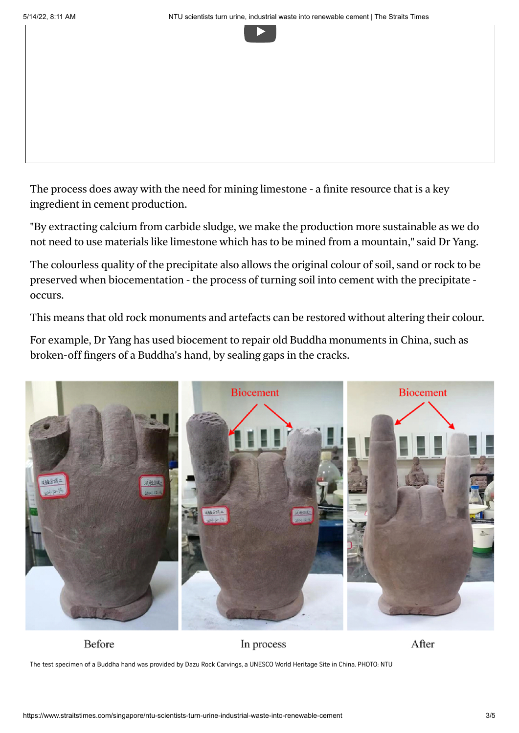

The process does away with the need for mining limestone - a finite resource that is a key ingredient in cement production.

"By extracting calcium from carbide sludge, we make the production more sustainable as we do not need to use materials like limestone which has to be mined from a mountain," said Dr Yang.

The colourless quality of the precipitate also allows the original colour of soil, sand or rock to be preserved when biocementation - the process of turning soil into cement with the precipitate occurs.

This means that old rock monuments and artefacts can be restored without altering their colour.

For example, Dr Yang has used biocement to repair old Buddha monuments in China, such as broken-off fingers of a Buddha's hand, by sealing gaps in the cracks.



Before

In process

After

The test specimen of a Buddha hand was provided by Dazu Rock Carvings, a UNESCO World Heritage Site in China. PHOTO: NTU